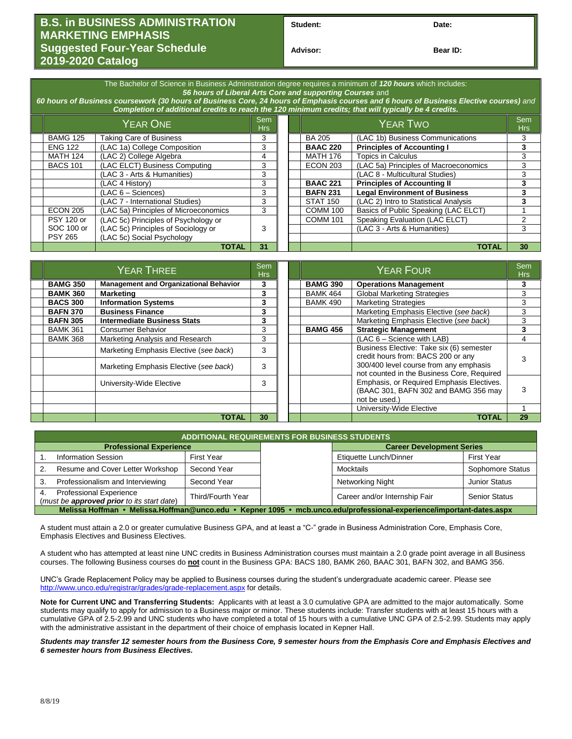## **B.S. in BUSINESS ADMINISTRATION MARKETING EMPHASIS Suggested Four-Year Schedule 2019-2020 Catalog**

Student: Date:

**Bear ID:** 

| The Bachelor of Science in Business Administration degree requires a minimum of 120 hours which includes:<br>56 hours of Liberal Arts Core and supporting Courses and<br>60 hours of Business coursework (30 hours of Business Core, 24 hours of Emphasis courses and 6 hours of Business Elective courses) and<br>Completion of additional credits to reach the 120 minimum credits; that will typically be 4 credits. |                   |                                       |    |  |                 |                                       |            |
|-------------------------------------------------------------------------------------------------------------------------------------------------------------------------------------------------------------------------------------------------------------------------------------------------------------------------------------------------------------------------------------------------------------------------|-------------------|---------------------------------------|----|--|-----------------|---------------------------------------|------------|
|                                                                                                                                                                                                                                                                                                                                                                                                                         | <b>YEAR ONE</b>   |                                       |    |  | <b>YEAR TWO</b> |                                       | Sem<br>Hrs |
|                                                                                                                                                                                                                                                                                                                                                                                                                         | <b>BAMG 125</b>   | <b>Taking Care of Business</b>        | 3  |  | <b>BA 205</b>   | (LAC 1b) Business Communications      |            |
|                                                                                                                                                                                                                                                                                                                                                                                                                         | <b>ENG 122</b>    | (LAC 1a) College Composition          | 3  |  | <b>BAAC 220</b> | <b>Principles of Accounting I</b>     | 3          |
|                                                                                                                                                                                                                                                                                                                                                                                                                         | <b>MATH 124</b>   | (LAC 2) College Algebra               | 4  |  | <b>MATH 176</b> | Topics in Calculus                    | 3          |
|                                                                                                                                                                                                                                                                                                                                                                                                                         | <b>BACS 101</b>   | (LAC ELCT) Business Computing         | 3  |  | <b>ECON 203</b> | (LAC 5a) Principles of Macroeconomics | 3          |
|                                                                                                                                                                                                                                                                                                                                                                                                                         |                   | (LAC 3 - Arts & Humanities)           | 3  |  |                 | (LAC 8 - Multicultural Studies)       | 3          |
|                                                                                                                                                                                                                                                                                                                                                                                                                         |                   | (LAC 4 History)                       | 3  |  | <b>BAAC 221</b> | <b>Principles of Accounting II</b>    | 3          |
|                                                                                                                                                                                                                                                                                                                                                                                                                         |                   | $(LAC 6 - Sciences)$                  | 3  |  | <b>BAFN 231</b> | <b>Legal Environment of Business</b>  | 3          |
|                                                                                                                                                                                                                                                                                                                                                                                                                         |                   | (LAC 7 - International Studies)       | 3  |  | <b>STAT 150</b> | (LAC 2) Intro to Statistical Analysis | 3          |
|                                                                                                                                                                                                                                                                                                                                                                                                                         | <b>ECON 205</b>   | (LAC 5a) Principles of Microeconomics | 3  |  | <b>COMM 100</b> | Basics of Public Speaking (LAC ELCT)  |            |
|                                                                                                                                                                                                                                                                                                                                                                                                                         | <b>PSY 120 or</b> | (LAC 5c) Principles of Psychology or  |    |  | <b>COMM 101</b> | Speaking Evaluation (LAC ELCT)        | 2          |
|                                                                                                                                                                                                                                                                                                                                                                                                                         | SOC 100 or        | (LAC 5c) Principles of Sociology or   | 3  |  |                 | (LAC 3 - Arts & Humanities)           | 3          |
|                                                                                                                                                                                                                                                                                                                                                                                                                         | <b>PSY 265</b>    | (LAC 5c) Social Psychology            |    |  |                 |                                       |            |
|                                                                                                                                                                                                                                                                                                                                                                                                                         |                   | <b>TOTAL</b>                          | 31 |  |                 | TOTAL                                 | 30         |

| YEAR THREE      |                                               | Sem<br>Hrs |  | <b>YEAR FOUR</b> |                                                                                      |    |
|-----------------|-----------------------------------------------|------------|--|------------------|--------------------------------------------------------------------------------------|----|
| <b>BAMG 350</b> | <b>Management and Organizational Behavior</b> | 3          |  | <b>BAMG 390</b>  | <b>Operations Management</b>                                                         | 3  |
| <b>BAMK 360</b> | <b>Marketing</b>                              | 3          |  | <b>BAMK 464</b>  | <b>Global Marketing Strategies</b>                                                   | 3  |
| <b>BACS 300</b> | <b>Information Systems</b>                    | 3          |  | <b>BAMK 490</b>  | <b>Marketing Strategies</b>                                                          | 3  |
| <b>BAFN 370</b> | <b>Business Finance</b>                       | 3          |  |                  | Marketing Emphasis Elective (see back)                                               | 3  |
| <b>BAFN 305</b> | <b>Intermediate Business Stats</b>            | 3          |  |                  | Marketing Emphasis Elective (see back)                                               | 3  |
| <b>BAMK 361</b> | Consumer Behavior                             | 3          |  | <b>BAMG 456</b>  | <b>Strategic Management</b>                                                          | 3  |
| <b>BAMK 368</b> | Marketing Analysis and Research               | 3          |  |                  | $(LAC 6 - Science with LAB)$                                                         | 4  |
|                 | Marketing Emphasis Elective (see back)        | 3          |  |                  | Business Elective: Take six (6) semester<br>credit hours from: BACS 200 or any       | З  |
|                 | Marketing Emphasis Elective (see back)        | 3          |  |                  | 300/400 level course from any emphasis<br>not counted in the Business Core, Required |    |
|                 | University-Wide Elective                      | 3          |  |                  | Emphasis, or Required Emphasis Electives.<br>(BAAC 301, BAFN 302 and BAMG 356 may    | 3  |
|                 |                                               |            |  |                  | not be used.)                                                                        |    |
|                 |                                               |            |  |                  | University-Wide Elective                                                             |    |
|                 | <b>TOTAL</b>                                  | 30         |  |                  | <b>TOTAL</b>                                                                         | 29 |

| <b>ADDITIONAL REQUIREMENTS FOR BUSINESS STUDENTS</b>                                                                 |                                                 |                   |                               |                                  |                      |  |  |  |
|----------------------------------------------------------------------------------------------------------------------|-------------------------------------------------|-------------------|-------------------------------|----------------------------------|----------------------|--|--|--|
|                                                                                                                      | <b>Professional Experience</b>                  |                   |                               | <b>Career Development Series</b> |                      |  |  |  |
|                                                                                                                      | <b>Information Session</b>                      | <b>First Year</b> |                               | Etiquette Lunch/Dinner           | <b>First Year</b>    |  |  |  |
|                                                                                                                      | Resume and Cover Letter Workshop                | Second Year       |                               | Mocktails                        | Sophomore Status     |  |  |  |
|                                                                                                                      | Professionalism and Interviewing<br>Second Year |                   |                               | Networking Night                 | <b>Junior Status</b> |  |  |  |
| <b>Professional Experience</b><br>4.<br>Third/Fourth Year<br>(must be approved prior to its start date)              |                                                 |                   | Career and/or Internship Fair | <b>Senior Status</b>             |                      |  |  |  |
| Melissa Hoffman • Melissa.Hoffman@unco.edu • Kepner 1095 • mcb.unco.edu/professional-experience/important-dates.aspx |                                                 |                   |                               |                                  |                      |  |  |  |

A student must attain a 2.0 or greater cumulative Business GPA, and at least a "C-" grade in Business Administration Core, Emphasis Core, Emphasis Electives and Business Electives.

A student who has attempted at least nine UNC credits in Business Administration courses must maintain a 2.0 grade point average in all Business courses. The following Business courses do **not** count in the Business GPA: BACS 180, BAMK 260, BAAC 301, BAFN 302, and BAMG 356.

UNC's Grade Replacement Policy may be applied to Business courses during the student's undergraduate academic career. Please see <http://www.unco.edu/registrar/grades/grade-replacement.aspx> for details.

**Note for Current UNC and Transferring Students:** Applicants with at least a 3.0 cumulative GPA are admitted to the major automatically. Some students may qualify to apply for admission to a Business major or minor. These students include: Transfer students with at least 15 hours with a cumulative GPA of 2.5-2.99 and UNC students who have completed a total of 15 hours with a cumulative UNC GPA of 2.5-2.99. Students may apply with the administrative assistant in the department of their choice of emphasis located in Kepner Hall.

*Students may transfer 12 semester hours from the Business Core, 9 semester hours from the Emphasis Core and Emphasis Electives and 6 semester hours from Business Electives.*